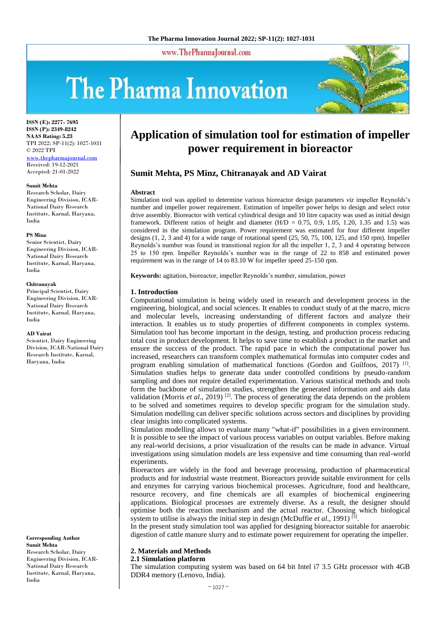www.ThePharmaJournal.com

# The Pharma Innovation



**ISSN (E): 2277- 7695 ISSN (P): 2349-8242 NAAS Rating: 5.23** TPI 2022; SP-11(2): 1027-1031 © 2022 TPI [www.thepharmajournal.com](file:///C:/Users/gupta/AppData/Roaming/Microsoft/Word/www.thepharmajournal.com) Received: 19-12-2021

Accepted: 21-01-2022

# **Sumit Mehta**

Research Scholar, Dairy Engineering Division, ICAR-National Dairy Research Institute, Karnal, Haryana, India

# **PS Minz**

Senior Scientist, Dairy Engineering Division, ICAR-National Dairy Research Institute, Karnal, Haryana, India

#### **Chitranayak**

Principal Scientist, Dairy Engineering Division, ICAR-National Dairy Research Institute, Karnal, Haryana, India

#### **AD Vairat**

Scientist, Dairy Engineering Division, ICAR-National Dairy Research Institute, Karnal, Haryana, India

**Corresponding Author Sumit Mehta** Research Scholar, Dairy Engineering Division, ICAR-National Dairy Research Institute, Karnal, Haryana, India

# **Application of simulation tool for estimation of impeller power requirement in bioreactor**

# **Sumit Mehta, PS Minz, Chitranayak and AD Vairat**

#### **Abstract**

Simulation tool was applied to determine various bioreactor design parameters *viz* impeller Reynolds's number and impeller power requirement. Estimation of impeller power helps to design and select rotor drive assembly. Bioreactor with vertical cylindrical design and 10 litre capacity was used as initial design framework. Different ratios of height and diameter  $(H/D = 0.75, 0.9, 1.05, 1.20, 1.35,$  and 1.5) was considered in the simulation program. Power requirement was estimated for four different impeller designs (1, 2, 3 and 4) for a wide range of rotational speed (25, 50, 75, 100, 125, and 150 rpm). Impeller Reynolds's number was found in transitional region for all the impeller 1, 2, 3 and 4 operating between 25 to 150 rpm. Impeller Reynolds's number was in the range of 22 to 858 and estimated power requirement was in the range of 14 to 83.10 W for impeller speed 25-150 rpm.

**Keywords:** agitation, bioreactor, impeller Reynolds's number, simulation, power

## **1. Introduction**

Computational simulation is being widely used in research and development process in the engineering, biological, and social sciences. It enables to conduct study of at the macro, micro and molecular levels, increasing understanding of different factors and analyze their interaction. It enables us to study properties of different components in complex systems. Simulation tool has become important in the design, testing, and production process reducing total cost in product development. It helps to save time to establish a product in the market and ensure the success of the product. The rapid pace in which the computational power has increased, researchers can transform complex mathematical formulas into computer codes and program enabling simulation of mathematical functions (Gordon and Guilfoos, 2017)<sup>[1]</sup>. Simulation studies helps to generate data under controlled conditions by pseudo-random sampling and does not require detailed experimentation. Various statistical methods and tools form the backbone of simulation studies, strengthen the generated information and aids data validation (Morris *et al.*, 2019)<sup>[2]</sup>. The process of generating the data depends on the problem to be solved and sometimes requires to develop specific program for the simulation study. Simulation modelling can deliver specific solutions across sectors and disciplines by providing clear insights into complicated systems.

Simulation modelling allows to evaluate many "what-if" possibilities in a given environment. It is possible to see the impact of various process variables on output variables. Before making any real-world decisions, a prior visualization of the results can be made in advance. Virtual investigations using simulation models are less expensive and time consuming than real-world experiments.

Bioreactors are widely in the food and beverage processing, production of pharmaceutical products and for industrial waste treatment. Bioreactors provide suitable environment for cells and enzymes for carrying various biochemical processes. Agriculture, food and healthcare, resource recovery, and fine chemicals are all examples of biochemical engineering applications. Biological processes are extremely diverse. As a result, the designer should optimise both the reaction mechanism and the actual reactor. Choosing which biological system to utilise is always the initial step in design (McDuffie *et al.*, 1991)<sup>[3]</sup>.

In the present study simulation tool was applied for designing bioreactor suitable for anaerobic digestion of cattle manure slurry and to estimate power requirement for operating the impeller.

# **2. Materials and Methods**

# **2.1 Simulation platform**

The simulation computing system was based on 64 bit Intel i7 3.5 GHz processor with 4GB DDR4 memory (Lenovo, India).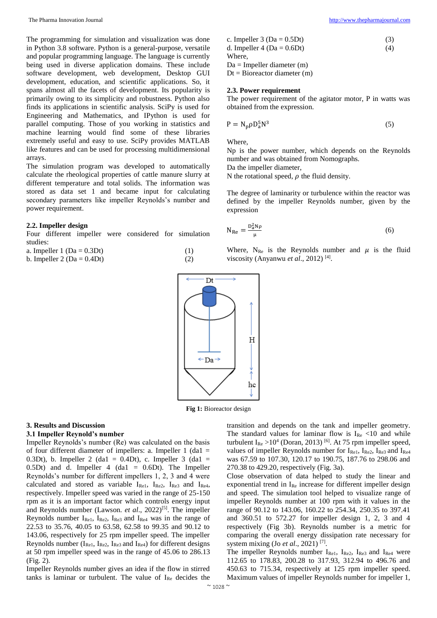The programming for simulation and visualization was done in Python 3.8 software. Python is a general-purpose, versatile and popular programming language. The language is currently being used in diverse application domains. These include software development, web development, Desktop GUI development, education, and scientific applications. So, it spans almost all the facets of development. Its popularity is primarily owing to its simplicity and robustness. Python also finds its applications in scientific analysis. SciPy is used for Engineering and Mathematics, and IPython is used for parallel computing. Those of you working in statistics and machine learning would find some of these libraries extremely useful and easy to use. SciPy provides MATLAB like features and can be used for processing multidimensional arrays.

The simulation program was developed to automatically calculate the rheological properties of cattle manure slurry at different temperature and total solids. The information was stored as data set 1 and became input for calculating secondary parameters like impeller Reynolds's number and power requirement.

#### **2.2. Impeller design**

Four different impeller were considered for simulation studies:

| a. Impeller $1 (Da = 0.3Dt)$   | (1) |
|--------------------------------|-----|
| b. Impeller 2 ( $Da = 0.4Dt$ ) | (2) |

| c. Impeller $3 (Da = 0.5Dt)$                      | (3) |
|---------------------------------------------------|-----|
| d. Impeller 4 ( $Da = 0.6Dt$ )                    | (4) |
| Where.                                            |     |
| $Da = Impeller diameter (m)$                      |     |
| $\mathbf{D}t - \mathbf{R}$ ioreactor diameter (m) |     |

 $Dt = Bioreactor diameter (m)$ 

## **2.3. Power requirement**

The power requirement of the agitator motor, P in watts was obtained from the expression.

$$
P = N_p \rho D_a^5 N^3 \tag{5}
$$

Where,

Np is the power number, which depends on the Reynolds number and was obtained from Nomographs.

Da the impeller diameter,

N the rotational speed,  $\rho$  the fluid density.

The degree of laminarity or turbulence within the reactor was defined by the impeller Reynolds number, given by the expression

$$
N_{\text{Re}} = \frac{D_{\text{a}}^2 N \rho}{\mu} \tag{6}
$$

Where,  $N_{Re}$  is the Reynolds number and  $\mu$  is the fluid viscosity (Anyanwu et al., 2012)<sup>[4]</sup>.



**Fig 1:** Bioreactor design

#### **3. Results and Discussion**

# **3.1 Impeller Reynold's number**

Impeller Reynolds's number (Re) was calculated on the basis of four different diameter of impellers: a. Impeller  $1$  (da1 = 0.3Dt), b. Impeller 2 (da1 = 0.4Dt), c. Impeller 3 (da1 = 0.5Dt) and d. Impeller 4 (da1 =  $0.6Dt$ ). The Impeller Reynolds's number for different impellers 1, 2, 3 and 4 were calculated and stored as variable IRe1, IRe2, IRe3 and IRe4, respectively. Impeller speed was varied in the range of 25-150 rpm as it is an important factor which controls energy input and Reynolds number (Lawson. *et al.*, 2022)<sup>[5]</sup>. The impeller Reynolds number  $I_{\text{Re1}}$ ,  $I_{\text{Re2}}$ ,  $I_{\text{Re3}}$  and  $I_{\text{Re4}}$  was in the range of 22.53 to 35.76, 40.05 to 63.58, 62.58 to 99.35 and 90.12 to 143.06, respectively for 25 rpm impeller speed. The impeller Reynolds number  $(I_{\text{Re1}}, I_{\text{Re2}}, I_{\text{Re3}})$  and  $I_{\text{Re4}}$  for different designs at 50 rpm impeller speed was in the range of 45.06 to 286.13 (Fig. 2).

Impeller Reynolds number gives an idea if the flow in stirred tanks is laminar or turbulent. The value of  $I_{Re}$  decides the

transition and depends on the tank and impeller geometry. The standard values for laminar flow is  $I_{Re}$  <10 and while turbulent  $I_{Re} > 10^4$  (Doran, 2013) <sup>[6]</sup>. At 75 rpm impeller speed, values of impeller Reynolds number for  $I_{\text{Rel}}$ ,  $I_{\text{Re}2}$ ,  $I_{\text{Re}3}$  and  $I_{\text{Re}4}$ was 67.59 to 107.30, 120.17 to 190.75, 187.76 to 298.06 and 270.38 to 429.20, respectively (Fig. 3a).

Close observation of data helped to study the linear and exponential trend in IRe increase for different impeller design and speed. The simulation tool helped to visualize range of impeller Reynolds number at 100 rpm with it values in the range of 90.12 to 143.06, 160.22 to 254.34, 250.35 to 397.41 and 360.51 to 572.27 for impeller design 1, 2, 3 and 4 respectively (Fig 3b). Reynolds number is a metric for comparing the overall energy dissipation rate necessary for system mixing (Jo *et al*., 2021) [7] .

The impeller Reynolds number I<sub>Re1</sub>, I<sub>Re2</sub>, I<sub>Re3</sub> and I<sub>Re4</sub> were 112.65 to 178.83, 200.28 to 317.93, 312.94 to 496.76 and 450.63 to 715.34, respectively at 125 rpm impeller speed. Maximum values of impeller Reynolds number for impeller 1,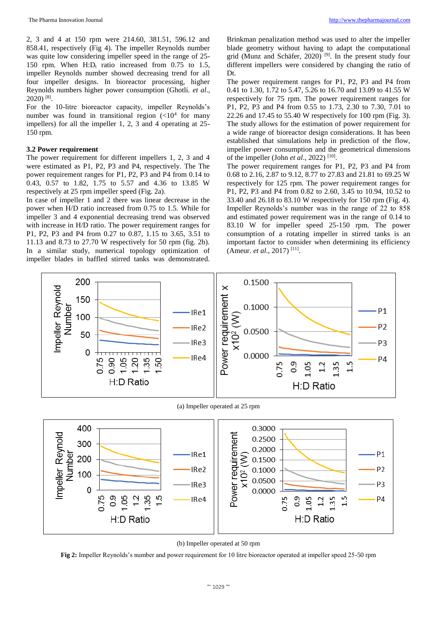The Pharma Innovation Journal [http://www.thepharmajournal.com](http://www.thepharmajournal.com/)

2, 3 and 4 at 150 rpm were 214.60, 381.51, 596.12 and 858.41, respectively (Fig 4). The impeller Reynolds number was quite low considering impeller speed in the range of 25- 150 rpm. When  $H:D_t$  ratio increased from 0.75 to 1.5, impeller Reynolds number showed decreasing trend for all four impeller designs. In bioreactor processing, higher Reynolds numbers higher power consumption (Ghotli. *et al*., 2020) [8] .

For the 10-litre bioreactor capacity, impeller Reynolds's number was found in transitional region  $(<10<sup>4</sup>$  for many impellers) for all the impeller 1, 2, 3 and 4 operating at 25- 150 rpm.

# **3.2 Power requirement**

The power requirement for different impellers 1, 2, 3 and 4 were estimated as P1, P2, P3 and P4, respectively. The The power requirement ranges for P1, P2, P3 and P4 from 0.14 to 0.43, 0.57 to 1.82, 1.75 to 5.57 and 4.36 to 13.85 W respectively at 25 rpm impeller speed (Fig. 2a).

In case of impeller 1 and 2 there was linear decrease in the power when H/D ratio increased from 0.75 to 1.5. While for impeller 3 and 4 exponential decreasing trend was observed with increase in H/D ratio. The power requirement ranges for P1, P2, P3 and P4 from 0.27 to 0.87, 1.15 to 3.65, 3.51 to 11.13 and 8.73 to 27.70 W respectively for 50 rpm (fig. 2b). In a similar study, numerical topology optimization of impeller blades in baffled stirred tanks was demonstrated.

Brinkman penalization method was used to alter the impeller blade geometry without having to adapt the computational grid (Munz and Schäfer, 2020)<sup>[9]</sup>. In the present study four different impellers were considered by changing the ratio of Dt.

The power requirement ranges for P1, P2, P3 and P4 from 0.41 to 1.30, 1.72 to 5.47, 5.26 to 16.70 and 13.09 to 41.55 W respectively for 75 rpm. The power requirement ranges for P1, P2, P3 and P4 from 0.55 to 1.73, 2.30 to 7.30, 7.01 to 22.26 and 17.45 to 55.40 W respectively for 100 rpm (Fig. 3). The study allows for the estimation of power requirement for a wide range of bioreactor design considerations. It has been established that simulations help in prediction of the flow, impeller power consumption and the geometrical dimensions of the impeller (John *et al.*, 2022)<sup>[10]</sup>.

The power requirement ranges for P1, P2, P3 and P4 from 0.68 to 2.16, 2.87 to 9.12, 8.77 to 27.83 and 21.81 to 69.25 W respectively for 125 rpm. The power requirement ranges for P1, P2, P3 and P4 from 0.82 to 2.60, 3.45 to 10.94, 10.52 to 33.40 and 26.18 to 83.10 W respectively for 150 rpm (Fig. 4). Impeller Reynolds's number was in the range of 22 to 858 and estimated power requirement was in the range of 0.14 to 83.10 W for impeller speed 25-150 rpm. The power consumption of a rotating impeller in stirred tanks is an important factor to consider when determining its efficiency (Ameur. *et al.*, 2017)<sup>[11]</sup>.



(a) Impeller operated at 25 rpm





**Fig 2:** Impeller Reynolds's number and power requirement for 10 litre bioreactor operated at impeller speed 25-50 rpm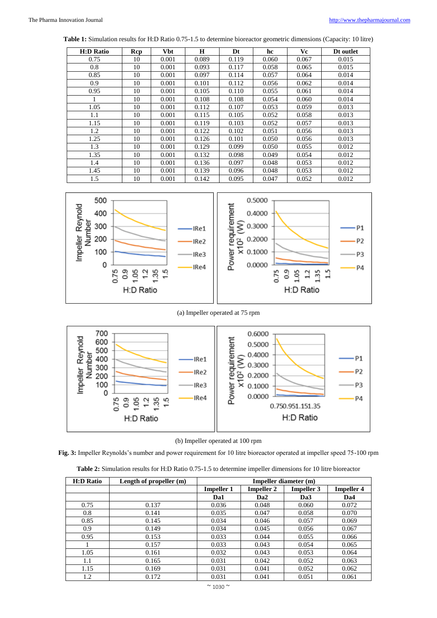**Table 1:** Simulation results for H:D Ratio 0.75-1.5 to determine bioreactor geometric dimensions (Capacity: 10 litre)

| <b>H:D Ratio</b> | Rcp | <b>Vbt</b> | H     | Dt    | hc    | Vc    | Dt outlet |
|------------------|-----|------------|-------|-------|-------|-------|-----------|
| 0.75             | 10  | 0.001      | 0.089 | 0.119 | 0.060 | 0.067 | 0.015     |
| 0.8              | 10  | 0.001      | 0.093 | 0.117 | 0.058 | 0.065 | 0.015     |
| 0.85             | 10  | 0.001      | 0.097 | 0.114 | 0.057 | 0.064 | 0.014     |
| 0.9              | 10  | 0.001      | 0.101 | 0.112 | 0.056 | 0.062 | 0.014     |
| 0.95             | 10  | 0.001      | 0.105 | 0.110 | 0.055 | 0.061 | 0.014     |
|                  | 10  | 0.001      | 0.108 | 0.108 | 0.054 | 0.060 | 0.014     |
| 1.05             | 10  | 0.001      | 0.112 | 0.107 | 0.053 | 0.059 | 0.013     |
| 1.1              | 10  | 0.001      | 0.115 | 0.105 | 0.052 | 0.058 | 0.013     |
| 1.15             | 10  | 0.001      | 0.119 | 0.103 | 0.052 | 0.057 | 0.013     |
| 1.2              | 10  | 0.001      | 0.122 | 0.102 | 0.051 | 0.056 | 0.013     |
| 1.25             | 10  | 0.001      | 0.126 | 0.101 | 0.050 | 0.056 | 0.013     |
| 1.3              | 10  | 0.001      | 0.129 | 0.099 | 0.050 | 0.055 | 0.012     |
| 1.35             | 10  | 0.001      | 0.132 | 0.098 | 0.049 | 0.054 | 0.012     |
| 1.4              | 10  | 0.001      | 0.136 | 0.097 | 0.048 | 0.053 | 0.012     |
| 1.45             | 10  | 0.001      | 0.139 | 0.096 | 0.048 | 0.053 | 0.012     |
| 1.5              | 10  | 0.001      | 0.142 | 0.095 | 0.047 | 0.052 | 0.012     |



# (a) Impeller operated at 75 rpm



# (b) Impeller operated at 100 rpm

**Fig. 3:** Impeller Reynolds's number and power requirement for 10 litre bioreactor operated at impeller speed 75-100 rpm

| <b>H:D Ratio</b> | Length of propeller (m) | Impeller diameter (m) |                   |                   |                   |  |
|------------------|-------------------------|-----------------------|-------------------|-------------------|-------------------|--|
|                  |                         | <b>Impeller 1</b>     | <b>Impeller 2</b> | <b>Impeller 3</b> | <b>Impeller 4</b> |  |
|                  |                         | Da1                   | Da <sub>2</sub>   | Da <sub>3</sub>   | Da4               |  |
| 0.75             | 0.137                   | 0.036                 | 0.048             | 0.060             | 0.072             |  |
| 0.8              | 0.141                   | 0.035                 | 0.047             | 0.058             | 0.070             |  |
| 0.85             | 0.145                   | 0.034                 | 0.046             | 0.057             | 0.069             |  |
| 0.9              | 0.149                   | 0.034                 | 0.045             | 0.056             | 0.067             |  |
| 0.95             | 0.153                   | 0.033                 | 0.044             | 0.055             | 0.066             |  |
|                  | 0.157                   | 0.033                 | 0.043             | 0.054             | 0.065             |  |
| 1.05             | 0.161                   | 0.032                 | 0.043             | 0.053             | 0.064             |  |
| 1.1              | 0.165                   | 0.031                 | 0.042             | 0.052             | 0.063             |  |
| 1.15             | 0.169                   | 0.031                 | 0.041             | 0.052             | 0.062             |  |
| 1.2              | 0.172                   | 0.031                 | 0.041             | 0.051             | 0.061             |  |